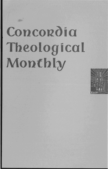# Concordia Theological Monthly

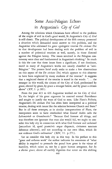## Some Anti-Pelagian Echoes in Augustine's *City* of *God*

Among the solutions which Christians have offered to the problem of the origin of evil in God's good world, St. Augustine's *City of God*  is still classic. The political development of the fifth century presented a situation which demanded some answer to this problem, and the Augustine who addressed his great apologetic treatise *De civitate Dei*  to that development had been dealing with the problem of evil in a number of polemical treatises as well, namely, in those directed against the Pelagian heresy. The issues involved in the Pelagian controversy were clear and fundamental in Augustine's thinking.1 So much *is* this the case that these issues form a significant, if not dominant, motif in many of Augustine's works not usually classified as "anti-Pelagian." The present brief study seeks to make a few observations on this aspect of the *De civitate Dei*, which appears to this observer to have been neglected by many students of the treatise.<sup>2</sup> It suggests that a neglected theme of the treatise is stated in the words: " $\dots$  the stranger in this world, the citizen of the City of God, predestined by grace, elected by grace, by grace a stranger below, and by grace a citizen above" (XV, 1: p. 285).

From the year 413 to 426 Augustine worked on his *City of God.*  To the height of his great argument he asserted eternal Providence and sought to justify the ways of God to men. Like Plato's *Politeia,*  Augustine's *De civitate Dei* has often been interpreted as a political treatise, dealing with issues like the relation between Church and State.<sup>3</sup> But in all these attempts, as in similar interpretations of Plato, the interpreters seem to have overlooked what Gustaf Aulén calls the Lebenstrieb or *Grundmotiv*.<sup>4</sup> "Because God foresaw all things, and was therefore not ignorant that man also would fall, we ought to consider this holy city in connection with what God foresaw and ordained [secundum id, quod praescivit atque disposuit, civitatem sanctam debemus adserereJ, and not according to our own ideas, which do not embrace God's ordination" (XIV, 11: p.271).

Let us consider this holy city in this way. In his preface to this "great and arduous work" the author indicates his awareness of "what ability is required to persuade the proud how great *is* the virtue of humility, which raises us, not by a quiet human arrogance, *but by a divine grace,* above all earthly dignities that totter on this shifting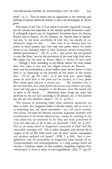scene" (p. 1). Thus he shows that in opposition to the tottering and shifting of human efforts he wishes to extol the sovereignty of divine grace.

This aspect of the *City of God* comes to the fore repeatedly throughout the treatise, but especially in the already quoted fourteenth book.<sup>5</sup> It undergirds a good part of Augustine's discussion about the Roman Empire and its history. So, for instance, the "bloody bliss of Marius" was due "to the secret providence of God, that the mouths of our adversaries might be shut. . . . And even if the demons have any power in these matters, they have only that power which the secret decree of the Almighty allots to them [quantum secreto omnipotentis arbitrio permittuntur}." (II, 23: p.38.) And power was not granted to men like Nero "save by the providence of the most high God, when He judges that the state of human affairs is worthy of such lords. . . . Though I have, according to my ability, shown for what reason God, who alone is true and just, helped forward the Romans . . . there may be, nevertheless, a more hidden cause, known better to God than to us, depending on the diversity of the merits of the human race."  $(V. 19: pp. 101-102.)$  It is this God who "gives kingly power on earth both to the pious and the impious, as it may please Him, whose good pleasure is always just. . . . He, therefore, who is the one true God, who never leaves the human race without just judgment and help, gave a kingdom to the Romans when He would, and as great as He would. . . . Manifestly these things are ruled and governed by the one God according as He pleases; and if His motives are hid, are they therefore unjust?"  $(V, 21: p. 103.)$ 

The purpose of presenting these rather extensive quotations has been to show that Augustine looks at Roman history and its evils, as at everything else, *sub specie aeternitatis* - yes, *sub specie aeternae Dei gratiae.* For even the demons, maintains Augustine, probably with reminiscences of his former Manichaeism, "cannot do anything of this kind unless they are permitted by the deep and secret providence of God, and then only so far as they are permitted" (VIII, 24: p. 163). This is, of course, rooted in Augustine's conception of God<sup>6</sup> and His immutable, sovereign will. "He is called Almighty only because He is mighty to do all He wills [certe non ob aliud vacatur omnipotens nisi quoniam quidquid vult potest}" (XXI, 7; p. 458). Such a comprehensive view of immutability as Augustine's must exclude all anthropomorphisms and anthropopathisms; in a long passage which has become a Christian classic on this problem, Augustine explains Um*stimmungen in Gatt* in terms of unchangeableness (XII, 17: pp. 237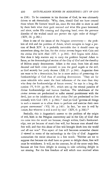to 238). To be consistent in his doctrine of God, he was ultimately driven to ask rhetorically: "Why, then, should God not have created those whom He foresaw would sin, since He was able to show in and by them both what their guilt merited and what His grace bestowed, and since, under His creating and disposing hand, even the perverse disorder of the wicked could not pervert the right order of things?" (XIV, 26: p.282.)

Here is one of the issues of the Pelagian controversy -- the problem of evil and the problem of Adam, which occupies so large a portion of Book XIV. It is probably inevitable that it should come up somewhere along the line; for the *civitas terrena* began with Cain and the *civitas Dei* with Abel (XV, 1: p. 284). Evil begins with Adam. Nor does it help matters any to carry the problem beyond Adam to Satan, as the demonological section of the *City of God* and the theodicy of Milton amply demonstrate. Adam is the crux; from him all men descend and both cities proceed, to join the good angels or the evil, as God secretly but justly decrees (XII, 27: p. 244). Augustine does not want to be a determinist, but he is more zealous of preserving the foreknowledge of God than of avoiding determinism. "They are far more tolerable who assert the fatal influences of the stars than they who deny the foreknowledge of future events," he says in a long discussion (V, 9-10: pp. 90-93), which sets up the eternal paradox of divine foreknowledge and human freedom. The inhabitants of the *civitas terrena* are predestined to suffer eternal punishment with the devil, just as the inhabitants of the *civitas Dei* are predestined to live eternally with God (XV, 1: p. 284).<sup>7</sup> And yet God "governs all things in such a manner as to allow them to perform and exercise their own proper movements" (VII, 30: p. 140). In fact, "no one is evil by nature, but whoever is evil is evil by vice" (XIV, 6: p. 266).8

Basically, this is Augustine's answer to the problem of the origin of evil, both in the Pelagian controversy and in the *City of God:* that sin came into the world not because, though within, God's foreknowledge, nor yet because of man's free will, but because man abused that free will; and that this abuse of free will brought death into the world and all our woe.<sup>9</sup> This aspect of free will becomes somewhat clearer if viewed in terms of the eschatology in the *City of God.* Augustine summarizes the entire situation in a few words: "Neither are we to suppose that because sin shall have no power to delight them, free will must be withdrawn. It will, on the contrary, be all the more truly free, because set free from delight in sinning to take unfailing delight in not sinning. For the first freedom of will which man received when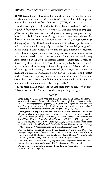he was created upright consisted in an ability not to sin, but also in an ability to sin; whereas this last freedom of will shall be superior, inasmuch as it shall not be able to sin." (XXII, 30: p.510.)

Additional light on all of this is offered by a consideration of some isagogical facts about the *De civitate Dei,* For one thing, it was composed during the years of the Pelagian controversy; so great an upheaval as this in Augustine's thought cannot have been without influence on his masterpiece. Then, too, the *City of God* was written at the urging of "my dearest son Marcellinus" (Preface: p.1), who, it will be remembered, was partly responsible for involving Augustine in the Pelagian controversy.10 Nor dare Pelagius himself be forgotten. Jacobi has attempted to show that Pelagius' world view was in many ways almost deistic, that, in oppostion to Augustine, he taught very little divine participation in human affairs.<sup>11</sup> Although Jacobi, influenced by the centuries of historical polemic, probably finds too much in the meager documentary evidence he produces, Pelagius' doctrine of God's grace in action, as summarized by 1oofs,12 was, to say the least, not the same as Augustine's from this angle either. The problem is that Augustine expressly states he is not dealing with "those who either deny that there is any divine power or contend that it does not interfere with human affairs"  $(X, 18: p.192).<sup>13</sup>$ 

From these data it would appear that there may be more of an anti-Pelagian tone to the *City of God* than is generally thought.

#### **NOTES**

- 1. Even Adolf von Harnack, who can hardly be said to be partial to doctrinal controversies, says: "Es hat vielleicht keine zweite, gleich bedeutsame Krisis in der Kirchengeschichte gegeben, in welcher die Gegner so klar und rein die Prinzipien, um die es sich handelte, zum Ausdruck gebracht haben." Lehrbuch der Dogmengeschichte (Tuebingen, 1920, III, 167).
- 2. Throughout this paper I quote the *City of God* by the traditional book and chapter divisions; the page number after the colon refers to the translation by Marcus Dods in Philip Schaff (ed.), *A Select Library of the Nicene and* Post-Nicene Fathers of the Christian Church, II (Buffalo, 1887), pp. 1-511. In a few critical spots I have added the Latin. My discussion owes much to Heinrich Scholz, Glaube und Unglaube in der Weltgeschichte (Leipzig, 1911), esp. his "Voraussetzungen und Grundbegriffe," pp. 20-69.
- 3. For two extreme presentations see Bruno Seidel, *Die Lehre vom Staat beim* heiligen Augustinus (Breslau, 1910), which presents a Roman Catholic viewpoint; and H. Reuter, "Die Kirche als 'Reich Gottes,'" Augustinische *Studien* (Gotha, 1881), which criticizes such interpretations.
- *4. Das Christliche Gottesbild in Vet'gangenheit find Gegenwart* (German translation of *Den kristna gudsbilden,* 1927; Giitersloh, 1930), p.54.
- 5. Perhaps this is why Scholz regards Book XIV as "heimatlos." He groups it with Book XIX, *op. cit.,* p. 17.